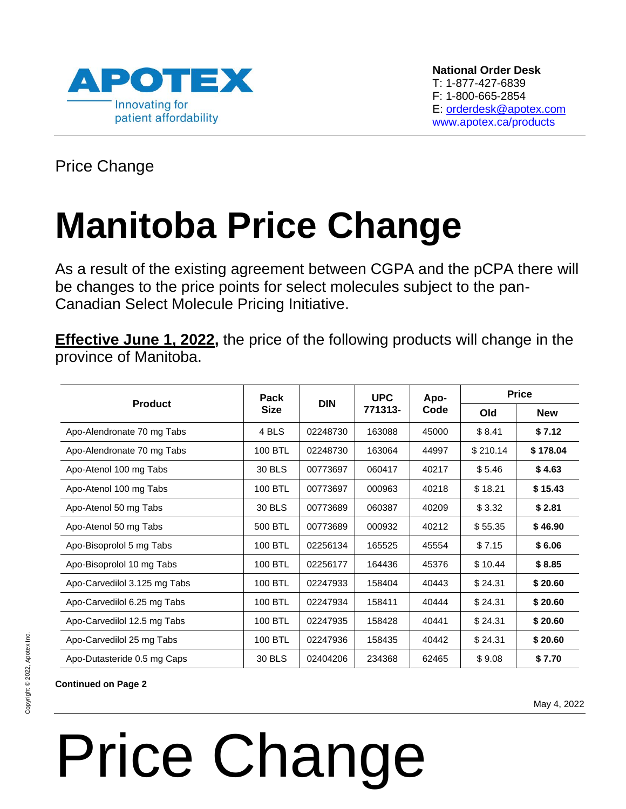

Price Change

### **Manitoba Price Change**

As a result of the existing agreement between CGPA and the pCPA there will be changes to the price points for select molecules subject to the pan-Canadian Select Molecule Pricing Initiative.

**Effective June 1, 2022,** the price of the following products will change in the province of Manitoba.

| <b>Product</b>               | Pack<br><b>Size</b> | <b>DIN</b> | <b>UPC</b><br>771313- | Apo-<br>Code | <b>Price</b> |            |
|------------------------------|---------------------|------------|-----------------------|--------------|--------------|------------|
|                              |                     |            |                       |              | Old          | <b>New</b> |
| Apo-Alendronate 70 mg Tabs   | 4 BLS               | 02248730   | 163088                | 45000        | \$8.41       | \$7.12     |
| Apo-Alendronate 70 mg Tabs   | 100 BTL             | 02248730   | 163064                | 44997        | \$210.14     | \$178.04   |
| Apo-Atenol 100 mg Tabs       | 30 BLS              | 00773697   | 060417                | 40217        | \$5.46       | \$4.63     |
| Apo-Atenol 100 mg Tabs       | 100 BTL             | 00773697   | 000963                | 40218        | \$18.21      | \$15.43    |
| Apo-Atenol 50 mg Tabs        | 30 BLS              | 00773689   | 060387                | 40209        | \$3.32       | \$2.81     |
| Apo-Atenol 50 mg Tabs        | 500 BTL             | 00773689   | 000932                | 40212        | \$55.35      | \$46.90    |
| Apo-Bisoprolol 5 mg Tabs     | 100 BTL             | 02256134   | 165525                | 45554        | \$7.15       | \$6.06     |
| Apo-Bisoprolol 10 mg Tabs    | 100 BTL             | 02256177   | 164436                | 45376        | \$10.44      | \$8.85     |
| Apo-Carvedilol 3.125 mg Tabs | 100 BTL             | 02247933   | 158404                | 40443        | \$24.31      | \$20.60    |
| Apo-Carvedilol 6.25 mg Tabs  | 100 BTL             | 02247934   | 158411                | 40444        | \$24.31      | \$20.60    |
| Apo-Carvedilol 12.5 mg Tabs  | 100 BTL             | 02247935   | 158428                | 40441        | \$24.31      | \$20.60    |
| Apo-Carvedilol 25 mg Tabs    | 100 BTL             | 02247936   | 158435                | 40442        | \$24.31      | \$20.60    |
| Apo-Dutasteride 0.5 mg Caps  | 30 BLS              | 02404206   | 234368                | 62465        | \$9.08       | \$7.70     |

### **Continued on Page 2**

May 4, 2022

## Price Change